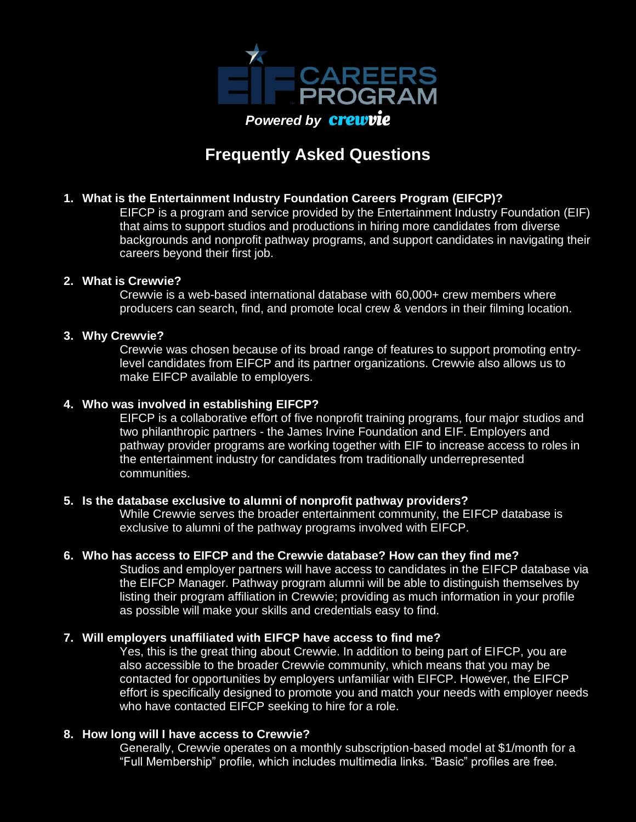

# **Frequently Asked Questions**

# **1. What is the Entertainment Industry Foundation Careers Program (EIFCP)?**

EIFCP is a program and service provided by the Entertainment Industry Foundation (EIF) that aims to support studios and productions in hiring more candidates from diverse backgrounds and nonprofit pathway programs, and support candidates in navigating their careers beyond their first job.

## **2. What is Crewvie?**

Crewvie is a web-based international database with 60,000+ crew members where producers can search, find, and promote local crew & vendors in their filming location.

## **3. Why Crewvie?**

Crewvie was chosen because of its broad range of features to support promoting entrylevel candidates from EIFCP and its partner organizations. Crewvie also allows us to make EIFCP available to employers.

## **4. Who was involved in establishing EIFCP?**

EIFCP is a collaborative effort of five nonprofit training programs, four major studios and two philanthropic partners - the James Irvine Foundation and EIF. Employers and pathway provider programs are working together with EIF to increase access to roles in the entertainment industry for candidates from traditionally underrepresented communities.

## **5. Is the database exclusive to alumni of nonprofit pathway providers?**

While Crewvie serves the broader entertainment community, the EIFCP database is exclusive to alumni of the pathway programs involved with EIFCP.

# **6. Who has access to EIFCP and the Crewvie database? How can they find me?**

Studios and employer partners will have access to candidates in the EIFCP database via the EIFCP Manager. Pathway program alumni will be able to distinguish themselves by listing their program affiliation in Crewvie; providing as much information in your profile as possible will make your skills and credentials easy to find.

## **7. Will employers unaffiliated with EIFCP have access to find me?**

Yes, this is the great thing about Crewvie. In addition to being part of EIFCP, you are also accessible to the broader Crewvie community, which means that you may be contacted for opportunities by employers unfamiliar with EIFCP. However, the EIFCP effort is specifically designed to promote you and match your needs with employer needs who have contacted EIFCP seeking to hire for a role.

## **8. How long will I have access to Crewvie?**

Generally, Crewvie operates on a monthly subscription-based model at \$1/month for a "Full Membership" profile, which includes multimedia links. "Basic" profiles are free.